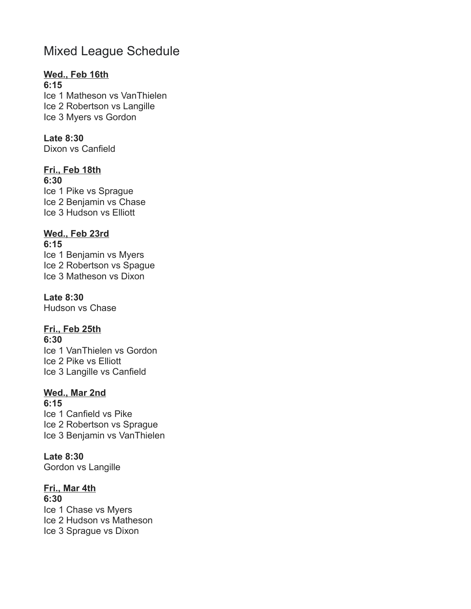# Mixed League Schedule

## **Wed., Feb 16th**

**6:15** Ice 1 Matheson vs VanThielen Ice 2 Robertson vs Langille Ice 3 Myers vs Gordon

### **Late 8:30**

Dixon vs Canfield

## **Fri., Feb 18th**

**6:30**

Ice 1 Pike vs Sprague Ice 2 Benjamin vs Chase Ice 3 Hudson vs Elliott

# **Wed., Feb 23rd**

**6:15**

Ice 1 Benjamin vs Myers Ice 2 Robertson vs Spague Ice 3 Matheson vs Dixon

### **Late 8:30**

Hudson vs Chase

## **Fri., Feb 25th**

**6:30** Ice 1 VanThielen vs Gordon Ice 2 Pike vs Elliott Ice 3 Langille vs Canfield

# **Wed., Mar 2nd**

**6:15** Ice 1 Canfield vs Pike Ice 2 Robertson vs Sprague Ice 3 Benjamin vs VanThielen

## **Late 8:30**

Gordon vs Langille

# **Fri., Mar 4th**

**6:30** Ice 1 Chase vs Myers Ice 2 Hudson vs Matheson Ice 3 Sprague vs Dixon